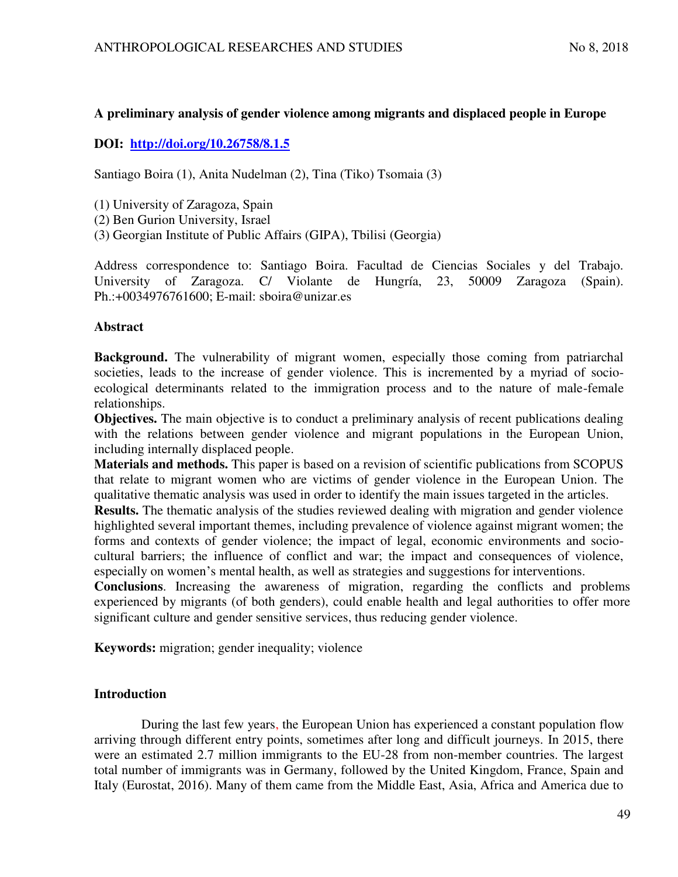# **A preliminary analysis of gender violence among migrants and displaced people in Europe**

# **DOI: <http://doi.org/10.26758/8.1.5>**

Santiago Boira (1), Anita Nudelman (2), Tina (Tiko) Tsomaia (3)

(1) University of Zaragoza, Spain

(2) Ben Gurion University, Israel

(3) Georgian Institute of Public Affairs (GIPA), Tbilisi (Georgia)

Address correspondence to: Santiago Boira. Facultad de Ciencias Sociales y del Trabajo. University of Zaragoza. C/ Violante de Hungría, 23, 50009 Zaragoza (Spain). Ph.:+0034976761600; E-mail: sboira@unizar.es

### **Abstract**

**Background.** The vulnerability of migrant women, especially those coming from patriarchal societies, leads to the increase of gender violence. This is incremented by a myriad of socioecological determinants related to the immigration process and to the nature of male-female relationships.

**Objectives.** The main objective is to conduct a preliminary analysis of recent publications dealing with the relations between gender violence and migrant populations in the European Union, including internally displaced people.

**Materials and methods.** This paper is based on a revision of scientific publications from SCOPUS that relate to migrant women who are victims of gender violence in the European Union. The qualitative thematic analysis was used in order to identify the main issues targeted in the articles.

**Results.** The thematic analysis of the studies reviewed dealing with migration and gender violence highlighted several important themes, including prevalence of violence against migrant women; the forms and contexts of gender violence; the impact of legal, economic environments and sociocultural barriers; the influence of conflict and war; the impact and consequences of violence, especially on women's mental health, as well as strategies and suggestions for interventions.

**Conclusions**. Increasing the awareness of migration, regarding the conflicts and problems experienced by migrants (of both genders), could enable health and legal authorities to offer more significant culture and gender sensitive services, thus reducing gender violence.

**Keywords:** migration; gender inequality; violence

## **Introduction**

During the last few years, the European Union has experienced a constant population flow arriving through different entry points, sometimes after long and difficult journeys. In 2015, there were an estimated 2.7 million immigrants to the EU-28 from non-member countries. The largest total number of immigrants was in Germany, followed by the United Kingdom, France, Spain and Italy (Eurostat, 2016). Many of them came from the Middle East, Asia, Africa and America due to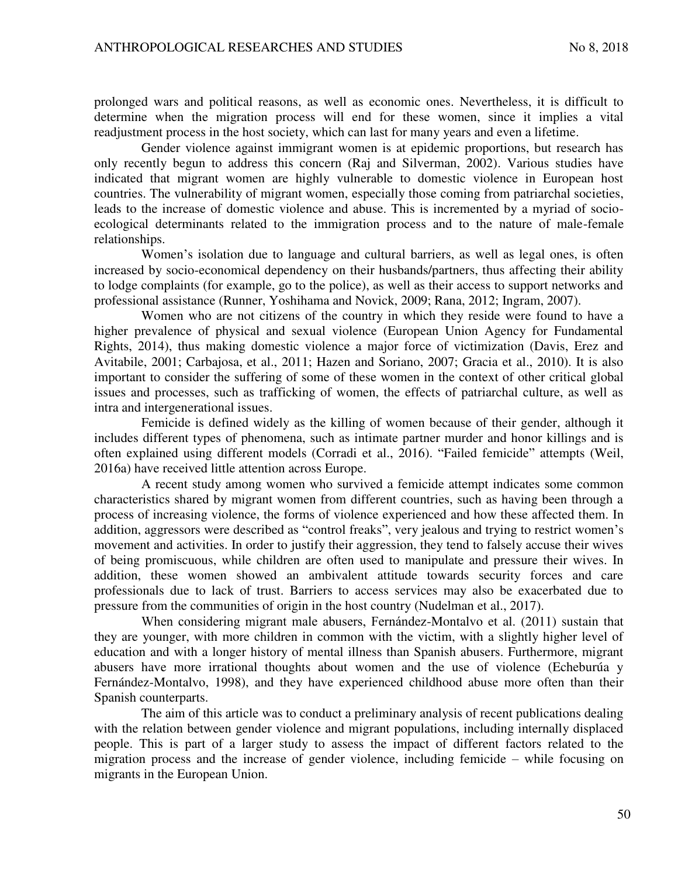prolonged wars and political reasons, as well as economic ones. Nevertheless, it is difficult to determine when the migration process will end for these women, since it implies a vital readjustment process in the host society, which can last for many years and even a lifetime.

Gender violence against immigrant women is at epidemic proportions, but research has only recently begun to address this concern (Raj and Silverman, 2002). Various studies have indicated that migrant women are highly vulnerable to domestic violence in European host countries. The vulnerability of migrant women, especially those coming from patriarchal societies, leads to the increase of domestic violence and abuse. This is incremented by a myriad of socioecological determinants related to the immigration process and to the nature of male-female relationships.

Women's isolation due to language and cultural barriers, as well as legal ones, is often increased by socio-economical dependency on their husbands/partners, thus affecting their ability to lodge complaints (for example, go to the police), as well as their access to support networks and professional assistance (Runner, Yoshihama and Novick, 2009; Rana, 2012; Ingram, 2007).

Women who are not citizens of the country in which they reside were found to have a higher prevalence of physical and sexual violence (European Union Agency for Fundamental Rights, 2014), thus making domestic violence a major force of victimization (Davis, Erez and Avitabile, 2001; Carbajosa, et al., 2011; Hazen and Soriano, 2007; Gracia et al., 2010). It is also important to consider the suffering of some of these women in the context of other critical global issues and processes, such as trafficking of women, the effects of patriarchal culture, as well as intra and intergenerational issues.

Femicide is defined widely as the killing of women because of their gender, although it includes different types of phenomena, such as intimate partner murder and honor killings and is often explained using different models (Corradi et al., 2016). "Failed femicide" attempts (Weil, 2016a) have received little attention across Europe.

A recent study among women who survived a femicide attempt indicates some common characteristics shared by migrant women from different countries, such as having been through a process of increasing violence, the forms of violence experienced and how these affected them. In addition, aggressors were described as "control freaks", very jealous and trying to restrict women's movement and activities. In order to justify their aggression, they tend to falsely accuse their wives of being promiscuous, while children are often used to manipulate and pressure their wives. In addition, these women showed an ambivalent attitude towards security forces and care professionals due to lack of trust. Barriers to access services may also be exacerbated due to pressure from the communities of origin in the host country (Nudelman et al., 2017).

When considering migrant male abusers, Fernández-Montalvo et al. (2011) sustain that they are younger, with more children in common with the victim, with a slightly higher level of education and with a longer history of mental illness than Spanish abusers. Furthermore, migrant abusers have more irrational thoughts about women and the use of violence (Echeburúa y Fernández-Montalvo, 1998), and they have experienced childhood abuse more often than their Spanish counterparts.

The aim of this article was to conduct a preliminary analysis of recent publications dealing with the relation between gender violence and migrant populations, including internally displaced people. This is part of a larger study to assess the impact of different factors related to the migration process and the increase of gender violence, including femicide – while focusing on migrants in the European Union.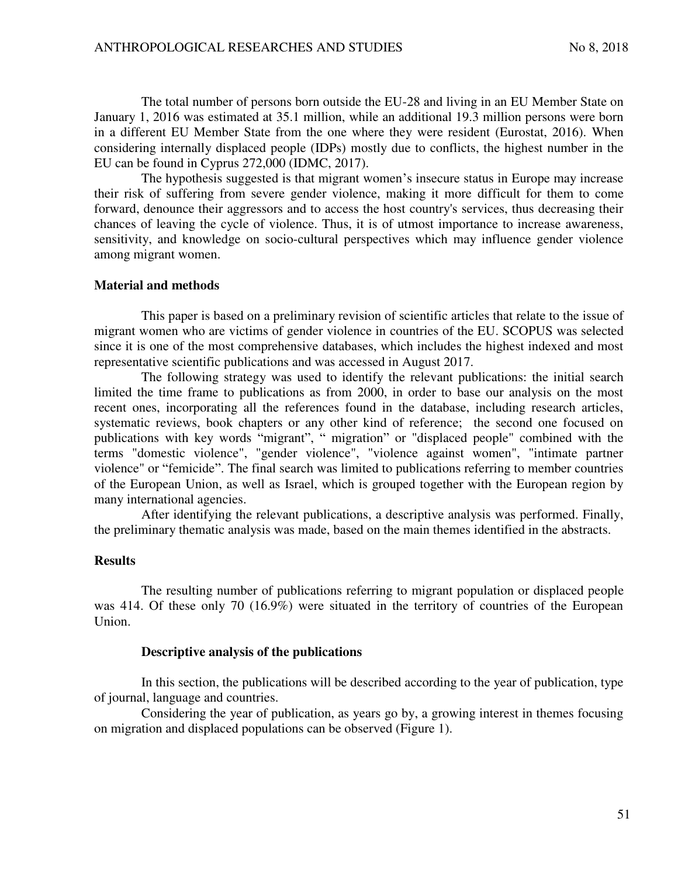The total number of persons born outside the EU-28 and living in an EU Member State on January 1, 2016 was estimated at 35.1 million, while an additional 19.3 million persons were born in a different EU Member State from the one where they were resident (Eurostat, 2016). When considering internally displaced people (IDPs) mostly due to conflicts, the highest number in the EU can be found in Cyprus 272,000 (IDMC, 2017).

The hypothesis suggested is that migrant women's insecure status in Europe may increase their risk of suffering from severe gender violence, making it more difficult for them to come forward, denounce their aggressors and to access the host country's services, thus decreasing their chances of leaving the cycle of violence. Thus, it is of utmost importance to increase awareness, sensitivity, and knowledge on socio-cultural perspectives which may influence gender violence among migrant women.

#### **Material and methods**

This paper is based on a preliminary revision of scientific articles that relate to the issue of migrant women who are victims of gender violence in countries of the EU. SCOPUS was selected since it is one of the most comprehensive databases, which includes the highest indexed and most representative scientific publications and was accessed in August 2017.

The following strategy was used to identify the relevant publications: the initial search limited the time frame to publications as from 2000, in order to base our analysis on the most recent ones, incorporating all the references found in the database, including research articles, systematic reviews, book chapters or any other kind of reference; the second one focused on publications with key words "migrant", " migration" or "displaced people" combined with the terms "domestic violence", "gender violence", "violence against women", "intimate partner violence" or "femicide". The final search was limited to publications referring to member countries of the European Union, as well as Israel, which is grouped together with the European region by many international agencies.

After identifying the relevant publications, a descriptive analysis was performed. Finally, the preliminary thematic analysis was made, based on the main themes identified in the abstracts.

#### **Results**

The resulting number of publications referring to migrant population or displaced people was 414. Of these only 70 (16.9%) were situated in the territory of countries of the European Union.

#### **Descriptive analysis of the publications**

In this section, the publications will be described according to the year of publication, type of journal, language and countries.

Considering the year of publication, as years go by, a growing interest in themes focusing on migration and displaced populations can be observed (Figure 1).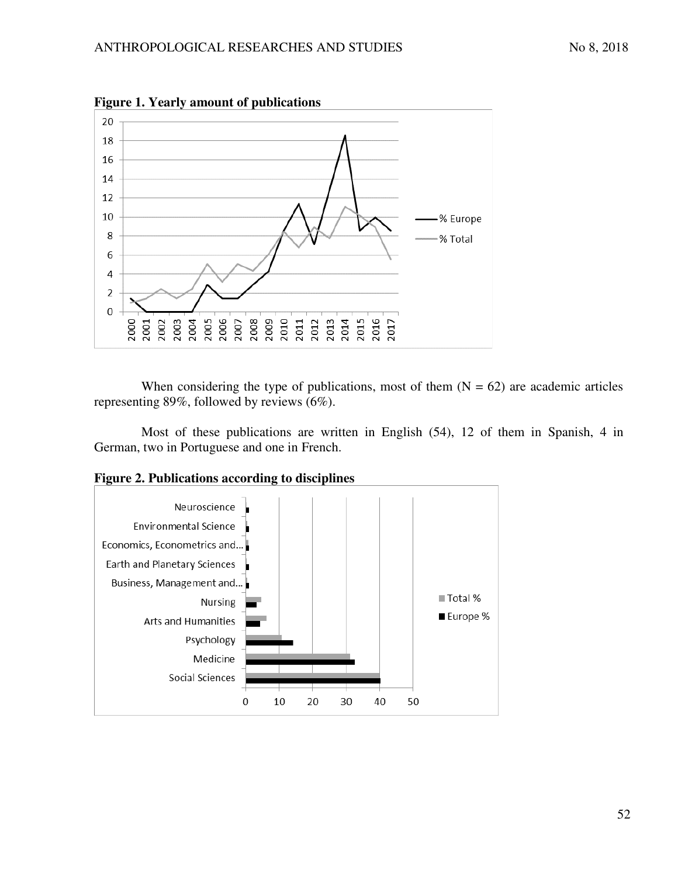

**Figure 1. Yearly amount of publications** 

When considering the type of publications, most of them  $(N = 62)$  are academic articles representing 89%, followed by reviews (6%).

Most of these publications are written in English (54), 12 of them in Spanish, 4 in German, two in Portuguese and one in French.



**Figure 2. Publications according to disciplines**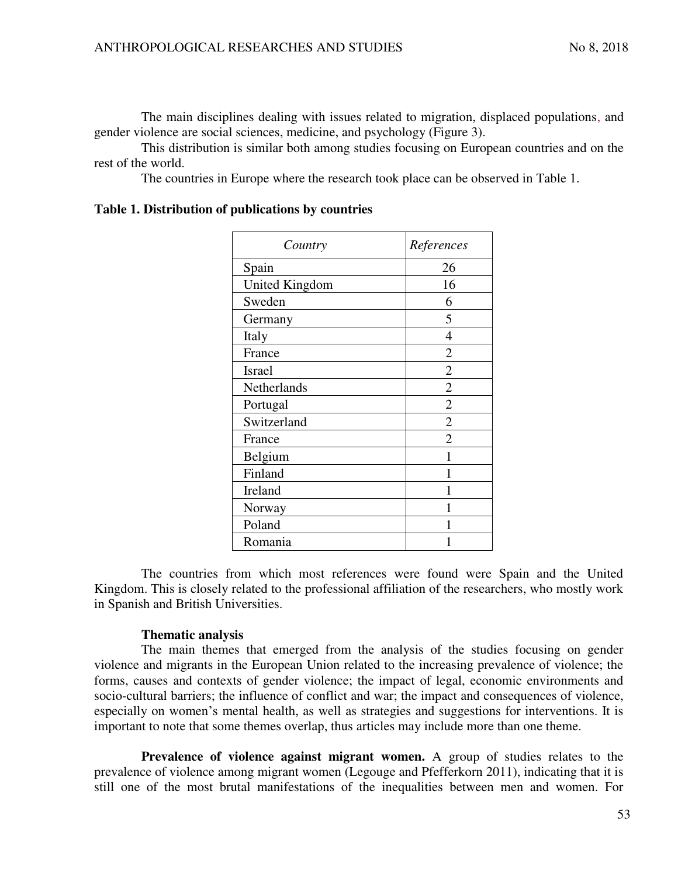The main disciplines dealing with issues related to migration, displaced populations, and gender violence are social sciences, medicine, and psychology (Figure 3).

This distribution is similar both among studies focusing on European countries and on the rest of the world.

The countries in Europe where the research took place can be observed in Table 1.

| Country               | References     |
|-----------------------|----------------|
| Spain                 | 26             |
| <b>United Kingdom</b> | 16             |
| Sweden                | 6              |
| Germany               | 5              |
| Italy                 | 4              |
| France                | 2              |
| <b>Israel</b>         | $\overline{2}$ |
| Netherlands           | $\overline{2}$ |
| Portugal              | $\overline{2}$ |
| Switzerland           | $\overline{2}$ |
| France                | $\overline{2}$ |
| Belgium               |                |
| Finland               |                |
| Ireland               |                |
| Norway                |                |
| Poland                |                |
| Romania               |                |

**Table 1. Distribution of publications by countries** 

The countries from which most references were found were Spain and the United Kingdom. This is closely related to the professional affiliation of the researchers, who mostly work in Spanish and British Universities.

## **Thematic analysis**

The main themes that emerged from the analysis of the studies focusing on gender violence and migrants in the European Union related to the increasing prevalence of violence; the forms, causes and contexts of gender violence; the impact of legal, economic environments and socio-cultural barriers; the influence of conflict and war; the impact and consequences of violence, especially on women's mental health, as well as strategies and suggestions for interventions. It is important to note that some themes overlap, thus articles may include more than one theme.

**Prevalence of violence against migrant women.** A group of studies relates to the prevalence of violence among migrant women (Legouge and Pfefferkorn 2011), indicating that it is still one of the most brutal manifestations of the inequalities between men and women. For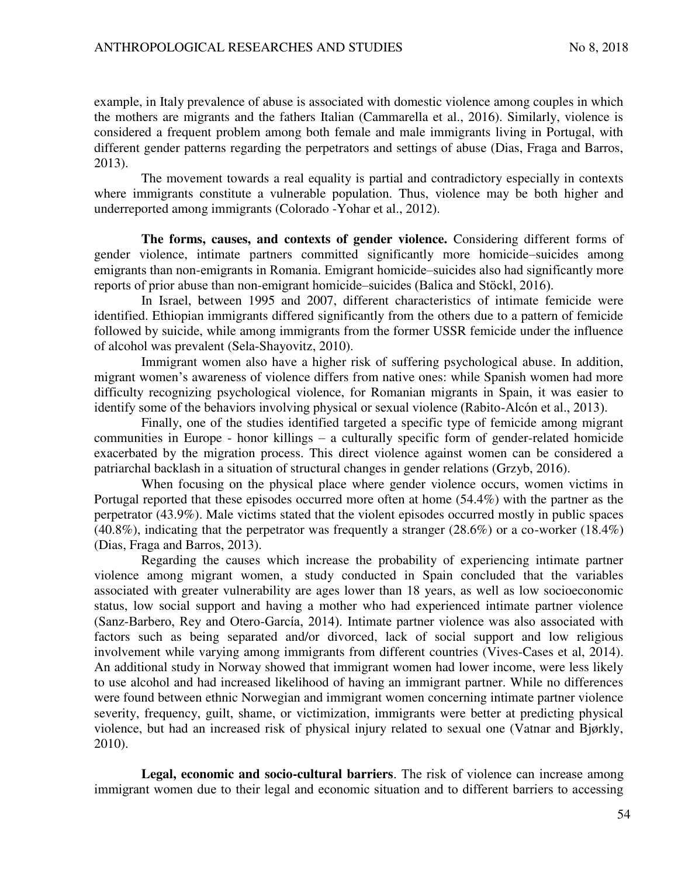example, in Italy prevalence of abuse is associated with domestic violence among couples in which the mothers are migrants and the fathers Italian (Cammarella et al., 2016). Similarly, violence is considered a frequent problem among both female and male immigrants living in Portugal, with different gender patterns regarding the perpetrators and settings of abuse (Dias, Fraga and Barros, 2013).

The movement towards a real equality is partial and contradictory especially in contexts where immigrants constitute a vulnerable population. Thus, violence may be both higher and underreported among immigrants (Colorado -Yohar et al., 2012).

**The forms, causes, and contexts of gender violence.** Considering different forms of gender violence, intimate partners committed significantly more homicide–suicides among emigrants than non-emigrants in Romania. Emigrant homicide–suicides also had significantly more reports of prior abuse than non-emigrant homicide–suicides (Balica and Stöckl, 2016).

In Israel, between 1995 and 2007, different characteristics of intimate femicide were identified. Ethiopian immigrants differed significantly from the others due to a pattern of femicide followed by suicide, while among immigrants from the former USSR femicide under the influence of alcohol was prevalent (Sela-Shayovitz, 2010).

Immigrant women also have a higher risk of suffering psychological abuse. In addition, migrant women's awareness of violence differs from native ones: while Spanish women had more difficulty recognizing psychological violence, for Romanian migrants in Spain, it was easier to identify some of the behaviors involving physical or sexual violence (Rabito-Alcón et al., 2013).

Finally, one of the studies identified targeted a specific type of femicide among migrant communities in Europe - honor killings – a culturally specific form of gender-related homicide exacerbated by the migration process. This direct violence against women can be considered a patriarchal backlash in a situation of structural changes in gender relations (Grzyb, 2016).

When focusing on the physical place where gender violence occurs, women victims in Portugal reported that these episodes occurred more often at home (54.4%) with the partner as the perpetrator (43.9%). Male victims stated that the violent episodes occurred mostly in public spaces (40.8%), indicating that the perpetrator was frequently a stranger (28.6%) or a co-worker (18.4%) (Dias, Fraga and Barros, 2013).

Regarding the causes which increase the probability of experiencing intimate partner violence among migrant women, a study conducted in Spain concluded that the variables associated with greater vulnerability are ages lower than 18 years, as well as low socioeconomic status, low social support and having a mother who had experienced intimate partner violence (Sanz-Barbero, Rey and Otero-García, 2014). Intimate partner violence was also associated with factors such as being separated and/or divorced, lack of social support and low religious involvement while varying among immigrants from different countries (Vives-Cases et al, 2014). An additional study in Norway showed that immigrant women had lower income, were less likely to use alcohol and had increased likelihood of having an immigrant partner. While no differences were found between ethnic Norwegian and immigrant women concerning intimate partner violence severity, frequency, guilt, shame, or victimization, immigrants were better at predicting physical violence, but had an increased risk of physical injury related to sexual one (Vatnar and Bjørkly, 2010).

**Legal, economic and socio-cultural barriers**. The risk of violence can increase among immigrant women due to their legal and economic situation and to different barriers to accessing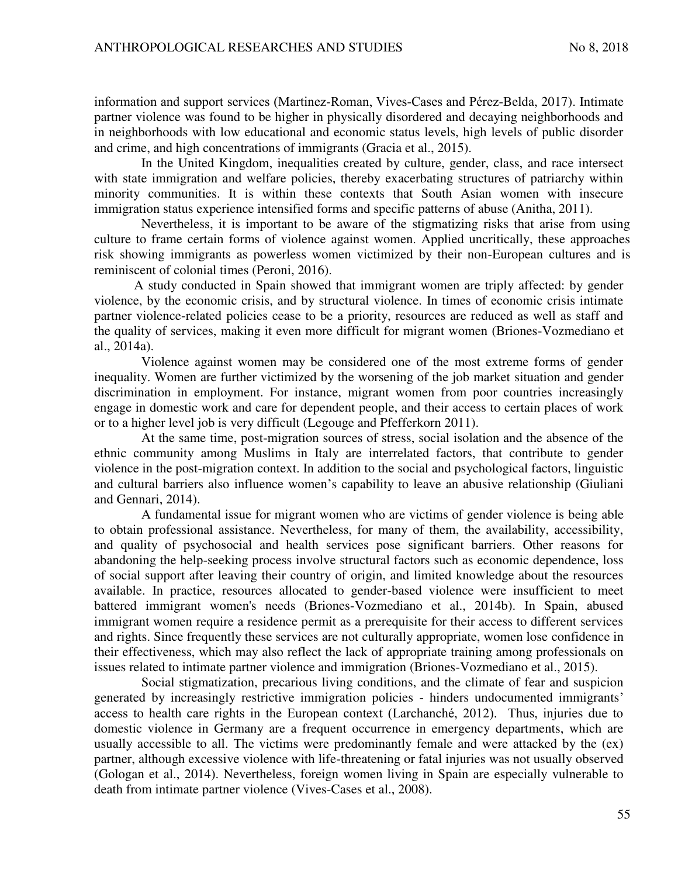information and support services (Martinez-Roman, Vives-Cases and Pérez-Belda, 2017). Intimate partner violence was found to be higher in physically disordered and decaying neighborhoods and in neighborhoods with low educational and economic status levels, high levels of public disorder and crime, and high concentrations of immigrants (Gracia et al., 2015).

In the United Kingdom, inequalities created by culture, gender, class, and race intersect with state immigration and welfare policies, thereby exacerbating structures of patriarchy within minority communities. It is within these contexts that South Asian women with insecure immigration status experience intensified forms and specific patterns of abuse (Anitha, 2011).

Nevertheless, it is important to be aware of the stigmatizing risks that arise from using culture to frame certain forms of violence against women. Applied uncritically, these approaches risk showing immigrants as powerless women victimized by their non-European cultures and is reminiscent of colonial times (Peroni, 2016).

A study conducted in Spain showed that immigrant women are triply affected: by gender violence, by the economic crisis, and by structural violence. In times of economic crisis intimate partner violence-related policies cease to be a priority, resources are reduced as well as staff and the quality of services, making it even more difficult for migrant women (Briones-Vozmediano et al., 2014a).

Violence against women may be considered one of the most extreme forms of gender inequality. Women are further victimized by the worsening of the job market situation and gender discrimination in employment. For instance, migrant women from poor countries increasingly engage in domestic work and care for dependent people, and their access to certain places of work or to a higher level job is very difficult (Legouge and Pfefferkorn 2011).

At the same time, post-migration sources of stress, social isolation and the absence of the ethnic community among Muslims in Italy are interrelated factors, that contribute to gender violence in the post-migration context. In addition to the social and psychological factors, linguistic and cultural barriers also influence women's capability to leave an abusive relationship (Giuliani and Gennari, 2014).

A fundamental issue for migrant women who are victims of gender violence is being able to obtain professional assistance. Nevertheless, for many of them, the availability, accessibility, and quality of psychosocial and health services pose significant barriers. Other reasons for abandoning the help-seeking process involve structural factors such as economic dependence, loss of social support after leaving their country of origin, and limited knowledge about the resources available. In practice, resources allocated to gender-based violence were insufficient to meet battered immigrant women's needs (Briones-Vozmediano et al., 2014b). In Spain, abused immigrant women require a residence permit as a prerequisite for their access to different services and rights. Since frequently these services are not culturally appropriate, women lose confidence in their effectiveness, which may also reflect the lack of appropriate training among professionals on issues related to intimate partner violence and immigration (Briones-Vozmediano et al., 2015).

Social stigmatization, precarious living conditions, and the climate of fear and suspicion generated by increasingly restrictive immigration policies - hinders undocumented immigrants' access to health care rights in the European context (Larchanché, 2012). Thus, injuries due to domestic violence in Germany are a frequent occurrence in emergency departments, which are usually accessible to all. The victims were predominantly female and were attacked by the (ex) partner, although excessive violence with life-threatening or fatal injuries was not usually observed (Gologan et al., 2014). Nevertheless, foreign women living in Spain are especially vulnerable to death from intimate partner violence (Vives-Cases et al., 2008).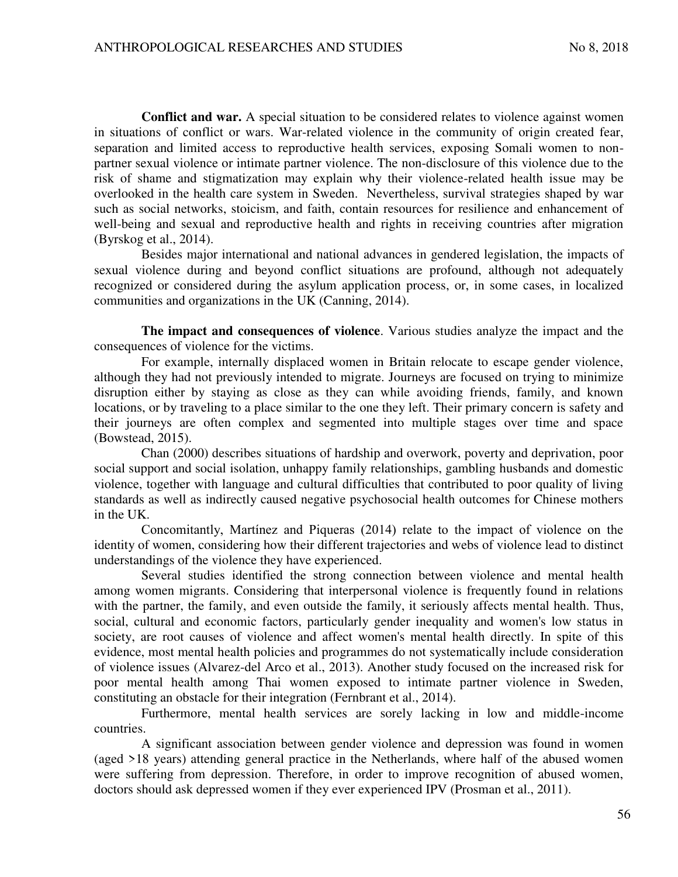**Conflict and war.** A special situation to be considered relates to violence against women in situations of conflict or wars. War-related violence in the community of origin created fear, separation and limited access to reproductive health services, exposing Somali women to nonpartner sexual violence or intimate partner violence. The non-disclosure of this violence due to the risk of shame and stigmatization may explain why their violence-related health issue may be overlooked in the health care system in Sweden. Nevertheless, survival strategies shaped by war such as social networks, stoicism, and faith, contain resources for resilience and enhancement of well-being and sexual and reproductive health and rights in receiving countries after migration (Byrskog et al., 2014).

Besides major international and national advances in gendered legislation, the impacts of sexual violence during and beyond conflict situations are profound, although not adequately recognized or considered during the asylum application process, or, in some cases, in localized communities and organizations in the UK (Canning, 2014).

**The impact and consequences of violence**. Various studies analyze the impact and the consequences of violence for the victims.

For example, internally displaced women in Britain relocate to escape gender violence, although they had not previously intended to migrate. Journeys are focused on trying to minimize disruption either by staying as close as they can while avoiding friends, family, and known locations, or by traveling to a place similar to the one they left. Their primary concern is safety and their journeys are often complex and segmented into multiple stages over time and space (Bowstead, 2015).

Chan (2000) describes situations of hardship and overwork, poverty and deprivation, poor social support and social isolation, unhappy family relationships, gambling husbands and domestic violence, together with language and cultural difficulties that contributed to poor quality of living standards as well as indirectly caused negative psychosocial health outcomes for Chinese mothers in the UK.

Concomitantly, Martínez and Piqueras (2014) relate to the impact of violence on the identity of women, considering how their different trajectories and webs of violence lead to distinct understandings of the violence they have experienced.

Several studies identified the strong connection between violence and mental health among women migrants. Considering that interpersonal violence is frequently found in relations with the partner, the family, and even outside the family, it seriously affects mental health. Thus, social, cultural and economic factors, particularly gender inequality and women's low status in society, are root causes of violence and affect women's mental health directly. In spite of this evidence, most mental health policies and programmes do not systematically include consideration of violence issues (Alvarez-del Arco et al., 2013). Another study focused on the increased risk for poor mental health among Thai women exposed to intimate partner violence in Sweden, constituting an obstacle for their integration (Fernbrant et al., 2014).

Furthermore, mental health services are sorely lacking in low and middle-income countries.

A significant association between gender violence and depression was found in women (aged >18 years) attending general practice in the Netherlands, where half of the abused women were suffering from depression. Therefore, in order to improve recognition of abused women, doctors should ask depressed women if they ever experienced IPV (Prosman et al., 2011).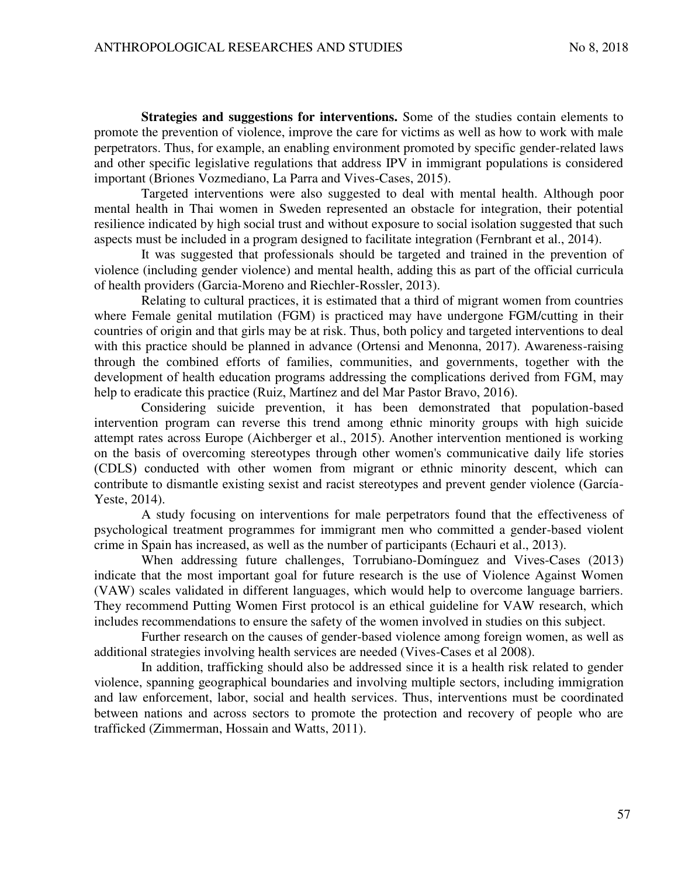**Strategies and suggestions for interventions.** Some of the studies contain elements to promote the prevention of violence, improve the care for victims as well as how to work with male perpetrators. Thus, for example, an enabling environment promoted by specific gender-related laws and other specific legislative regulations that address IPV in immigrant populations is considered important (Briones Vozmediano, La Parra and Vives-Cases, 2015).

Targeted interventions were also suggested to deal with mental health. Although poor mental health in Thai women in Sweden represented an obstacle for integration, their potential resilience indicated by high social trust and without exposure to social isolation suggested that such aspects must be included in a program designed to facilitate integration (Fernbrant et al., 2014).

It was suggested that professionals should be targeted and trained in the prevention of violence (including gender violence) and mental health, adding this as part of the official curricula of health providers (Garcia-Moreno and Riechler-Rossler, 2013).

Relating to cultural practices, it is estimated that a third of migrant women from countries where Female genital mutilation (FGM) is practiced may have undergone FGM/cutting in their countries of origin and that girls may be at risk. Thus, both policy and targeted interventions to deal with this practice should be planned in advance (Ortensi and Menonna, 2017). Awareness-raising through the combined efforts of families, communities, and governments, together with the development of health education programs addressing the complications derived from FGM, may help to eradicate this practice (Ruiz, Martínez and del Mar Pastor Bravo, 2016).

Considering suicide prevention, it has been demonstrated that population-based intervention program can reverse this trend among ethnic minority groups with high suicide attempt rates across Europe (Aichberger et al., 2015). Another intervention mentioned is working on the basis of overcoming stereotypes through other women's communicative daily life stories (CDLS) conducted with other women from migrant or ethnic minority descent, which can contribute to dismantle existing sexist and racist stereotypes and prevent gender violence (García-Yeste, 2014).

A study focusing on interventions for male perpetrators found that the effectiveness of psychological treatment programmes for immigrant men who committed a gender-based violent crime in Spain has increased, as well as the number of participants (Echauri et al., 2013).

When addressing future challenges, Torrubiano-Domínguez and Vives-Cases (2013) indicate that the most important goal for future research is the use of Violence Against Women (VAW) scales validated in different languages, which would help to overcome language barriers. They recommend Putting Women First protocol is an ethical guideline for VAW research, which includes recommendations to ensure the safety of the women involved in studies on this subject.

Further research on the causes of gender-based violence among foreign women, as well as additional strategies involving health services are needed (Vives-Cases et al 2008).

In addition, trafficking should also be addressed since it is a health risk related to gender violence, spanning geographical boundaries and involving multiple sectors, including immigration and law enforcement, labor, social and health services. Thus, interventions must be coordinated between nations and across sectors to promote the protection and recovery of people who are trafficked (Zimmerman, Hossain and Watts, 2011).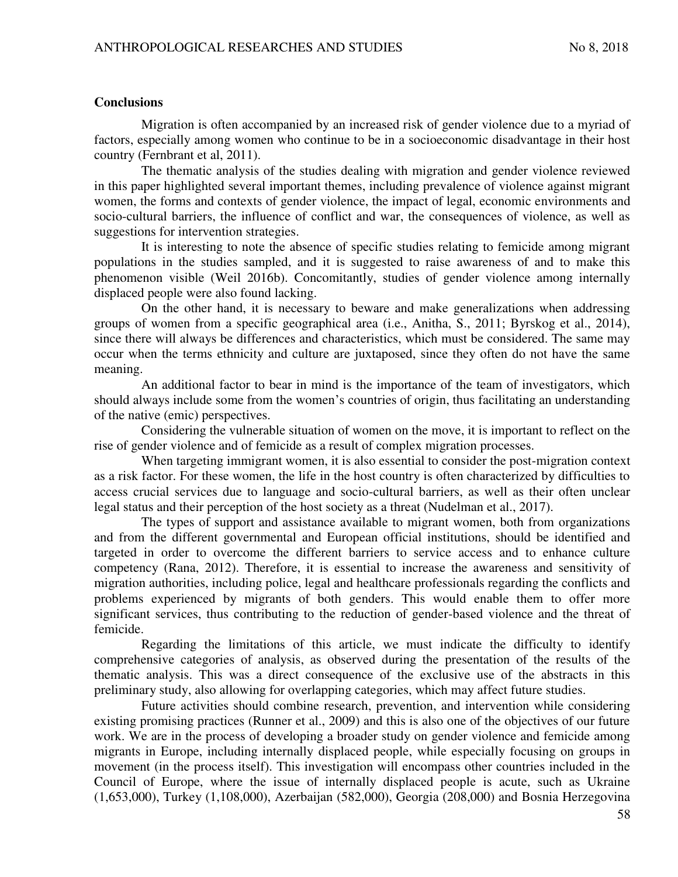## **Conclusions**

Migration is often accompanied by an increased risk of gender violence due to a myriad of factors, especially among women who continue to be in a socioeconomic disadvantage in their host country (Fernbrant et al, 2011).

The thematic analysis of the studies dealing with migration and gender violence reviewed in this paper highlighted several important themes, including prevalence of violence against migrant women, the forms and contexts of gender violence, the impact of legal, economic environments and socio-cultural barriers, the influence of conflict and war, the consequences of violence, as well as suggestions for intervention strategies.

It is interesting to note the absence of specific studies relating to femicide among migrant populations in the studies sampled, and it is suggested to raise awareness of and to make this phenomenon visible (Weil 2016b). Concomitantly, studies of gender violence among internally displaced people were also found lacking.

On the other hand, it is necessary to beware and make generalizations when addressing groups of women from a specific geographical area (i.e., Anitha, S., 2011; Byrskog et al., 2014), since there will always be differences and characteristics, which must be considered. The same may occur when the terms ethnicity and culture are juxtaposed, since they often do not have the same meaning.

An additional factor to bear in mind is the importance of the team of investigators, which should always include some from the women's countries of origin, thus facilitating an understanding of the native (emic) perspectives.

Considering the vulnerable situation of women on the move, it is important to reflect on the rise of gender violence and of femicide as a result of complex migration processes.

When targeting immigrant women, it is also essential to consider the post-migration context as a risk factor. For these women, the life in the host country is often characterized by difficulties to access crucial services due to language and socio-cultural barriers, as well as their often unclear legal status and their perception of the host society as a threat (Nudelman et al., 2017).

The types of support and assistance available to migrant women, both from organizations and from the different governmental and European official institutions, should be identified and targeted in order to overcome the different barriers to service access and to enhance culture competency (Rana, 2012). Therefore, it is essential to increase the awareness and sensitivity of migration authorities, including police, legal and healthcare professionals regarding the conflicts and problems experienced by migrants of both genders. This would enable them to offer more significant services, thus contributing to the reduction of gender-based violence and the threat of femicide.

Regarding the limitations of this article, we must indicate the difficulty to identify comprehensive categories of analysis, as observed during the presentation of the results of the thematic analysis. This was a direct consequence of the exclusive use of the abstracts in this preliminary study, also allowing for overlapping categories, which may affect future studies.

Future activities should combine research, prevention, and intervention while considering existing promising practices (Runner et al., 2009) and this is also one of the objectives of our future work. We are in the process of developing a broader study on gender violence and femicide among migrants in Europe, including internally displaced people, while especially focusing on groups in movement (in the process itself). This investigation will encompass other countries included in the Council of Europe, where the issue of internally displaced people is acute, such as Ukraine (1,653,000), Turkey (1,108,000), Azerbaijan (582,000), Georgia (208,000) and Bosnia Herzegovina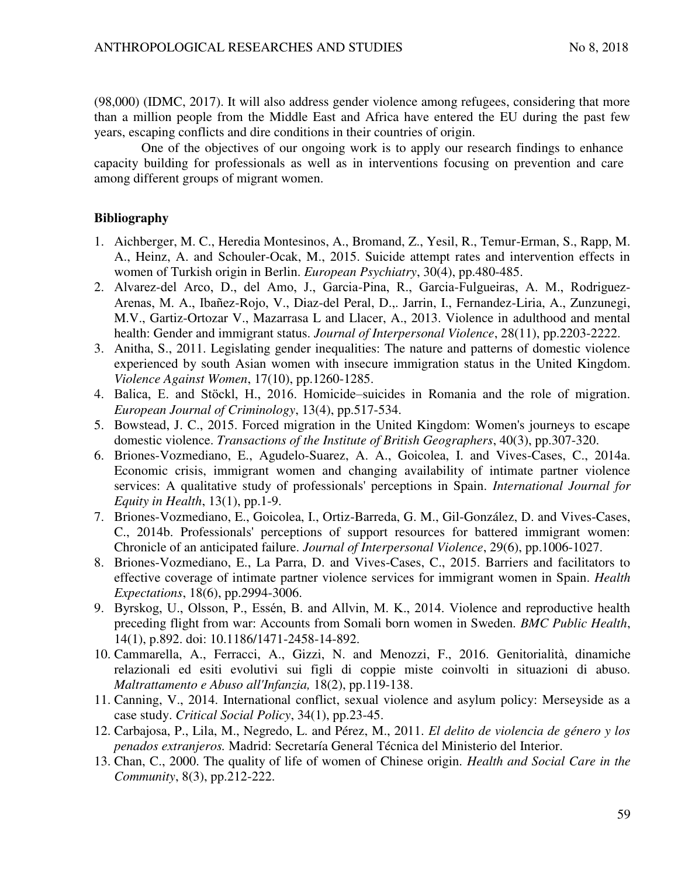(98,000) (IDMC, 2017). It will also address gender violence among refugees, considering that more than a million people from the Middle East and Africa have entered the EU during the past few years, escaping conflicts and dire conditions in their countries of origin.

One of the objectives of our ongoing work is to apply our research findings to enhance capacity building for professionals as well as in interventions focusing on prevention and care among different groups of migrant women.

### **Bibliography**

- 1. Aichberger, M. C., Heredia Montesinos, A., Bromand, Z., Yesil, R., Temur-Erman, S., Rapp, M. A., Heinz, A. and Schouler-Ocak, M., 2015. Suicide attempt rates and intervention effects in women of Turkish origin in Berlin. *European Psychiatry*, 30(4), pp.480-485.
- 2. Alvarez-del Arco, D., del Amo, J., Garcia-Pina, R., Garcia-Fulgueiras, A. M., Rodriguez-Arenas, M. A., Ibañez-Rojo, V., Diaz-del Peral, D.,. Jarrin, I., Fernandez-Liria, A., Zunzunegi, M.V., Gartiz-Ortozar V., Mazarrasa L and Llacer, A., 2013. Violence in adulthood and mental health: Gender and immigrant status. *Journal of Interpersonal Violence*, 28(11), pp.2203-2222.
- 3. Anitha, S., 2011. Legislating gender inequalities: The nature and patterns of domestic violence experienced by south Asian women with insecure immigration status in the United Kingdom. *Violence Against Women*, 17(10), pp.1260-1285.
- 4. Balica, E. and Stöckl, H., 2016. Homicide–suicides in Romania and the role of migration. *European Journal of Criminology*, 13(4), pp.517-534.
- 5. Bowstead, J. C., 2015. Forced migration in the United Kingdom: Women's journeys to escape domestic violence. *Transactions of the Institute of British Geographers*, 40(3), pp.307-320.
- 6. Briones-Vozmediano, E., Agudelo-Suarez, A. A., Goicolea, I. and Vives-Cases, C., 2014a. Economic crisis, immigrant women and changing availability of intimate partner violence services: A qualitative study of professionals' perceptions in Spain. *International Journal for Equity in Health*, 13(1), pp.1-9.
- 7. Briones-Vozmediano, E., Goicolea, I., Ortiz-Barreda, G. M., Gil-González, D. and Vives-Cases, C., 2014b. Professionals' perceptions of support resources for battered immigrant women: Chronicle of an anticipated failure. *Journal of Interpersonal Violence*, 29(6), pp.1006-1027.
- 8. Briones-Vozmediano, E., La Parra, D. and Vives-Cases, C., 2015. Barriers and facilitators to effective coverage of intimate partner violence services for immigrant women in Spain. *Health Expectations*, 18(6), pp.2994-3006.
- 9. Byrskog, U., Olsson, P., Essén, B. and Allvin, M. K., 2014. Violence and reproductive health preceding flight from war: Accounts from Somali born women in Sweden*. BMC Public Health*, 14(1), p.892. doi: 10.1186/1471-2458-14-892.
- 10. Cammarella, A., Ferracci, A., Gizzi, N. and Menozzi, F., 2016. Genitorialità, dinamiche relazionali ed esiti evolutivi sui figli di coppie miste coinvolti in situazioni di abuso. *Maltrattamento e Abuso all'Infanzia,* 18(2), pp.119-138.
- 11. Canning, V., 2014. International conflict, sexual violence and asylum policy: Merseyside as a case study. *Critical Social Policy*, 34(1), pp.23-45.
- 12. Carbajosa, P., Lila, M., Negredo, L. and Pérez, M., 2011. *El delito de violencia de género y los penados extranjeros.* Madrid: Secretaría General Técnica del Ministerio del Interior.
- 13. Chan, C., 2000. The quality of life of women of Chinese origin. *Health and Social Care in the Community*, 8(3), pp.212-222.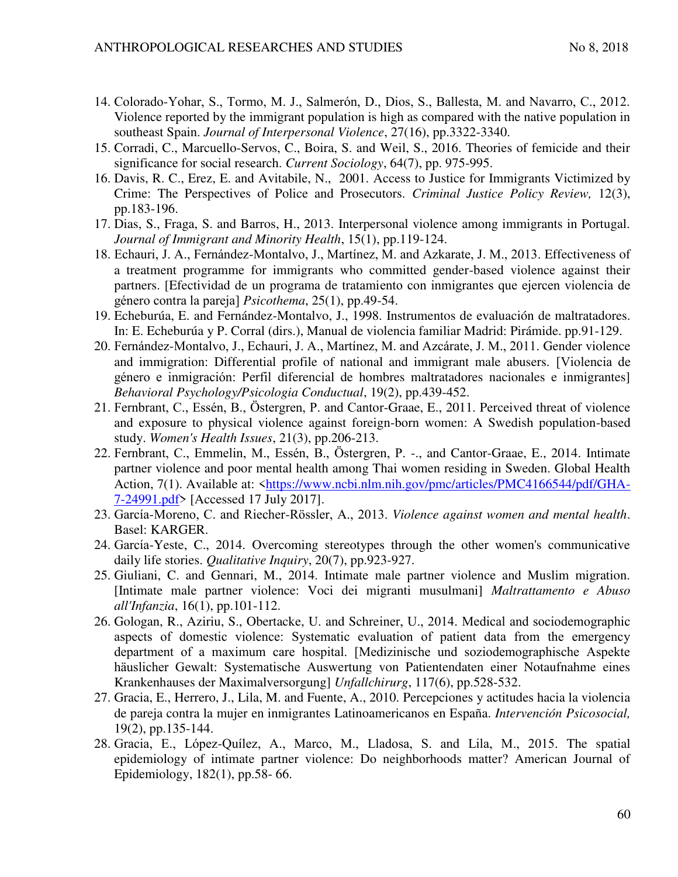- 14. Colorado-Yohar, S., Tormo, M. J., Salmerón, D., Dios, S., Ballesta, M. and Navarro, C., 2012. Violence reported by the immigrant population is high as compared with the native population in southeast Spain. *Journal of Interpersonal Violence*, 27(16), pp.3322-3340.
- 15. Corradi, C., Marcuello-Servos, C., Boira, S. and Weil, S., 2016. Theories of femicide and their significance for social research. *Current Sociology*, 64(7), pp. 975-995.
- 16. Davis, R. C., Erez, E. and Avitabile, N., 2001. Access to Justice for Immigrants Victimized by Crime: The Perspectives of Police and Prosecutors. *Criminal Justice Policy Review,* 12(3), pp.183-196.
- 17. Dias, S., Fraga, S. and Barros, H., 2013. Interpersonal violence among immigrants in Portugal. *Journal of Immigrant and Minority Health*, 15(1), pp.119-124.
- 18. Echauri, J. A., Fernández-Montalvo, J., Martínez, M. and Azkarate, J. M., 2013. Effectiveness of a treatment programme for immigrants who committed gender-based violence against their partners. [Efectividad de un programa de tratamiento con inmigrantes que ejercen violencia de género contra la pareja] *Psicothema*, 25(1), pp.49-54.
- 19. Echeburúa, E. and Fernández-Montalvo, J., 1998. Instrumentos de evaluación de maltratadores. In: E. Echeburúa y P. Corral (dirs.), Manual de violencia familiar Madrid: Pirámide. pp.91-129.
- 20. Fernández-Montalvo, J., Echauri, J. A., Martínez, M. and Azcárate, J. M., 2011. Gender violence and immigration: Differential profile of national and immigrant male abusers. [Violencia de género e inmigración: Perfil diferencial de hombres maltratadores nacionales e inmigrantes] *Behavioral Psychology/Psicologia Conductual*, 19(2), pp.439-452.
- 21. Fernbrant, C., Essén, B., Östergren, P. and Cantor-Graae, E., 2011. Perceived threat of violence and exposure to physical violence against foreign-born women: A Swedish population-based study. *Women's Health Issues*, 21(3), pp.206-213.
- 22. Fernbrant, C., Emmelin, M., Essén, B., Östergren, P. -., and Cantor-Graae, E., 2014. Intimate partner violence and poor mental health among Thai women residing in Sweden. Global Health Action, 7(1). Available at: [<https://www.ncbi.nlm.nih.gov/pmc/articles/PMC4166544/pdf/GHA-](https://www.ncbi.nlm.nih.gov/pmc/articles/PMC4166544/pdf/GHA-7-24991.pdf)[7-24991.pdf>](https://www.ncbi.nlm.nih.gov/pmc/articles/PMC4166544/pdf/GHA-7-24991.pdf) [Accessed 17 July 2017].
- 23. García-Moreno, C. and Riecher-Rössler, A., 2013. *Violence against women and mental health*. Basel: KARGER.
- 24. García-Yeste, C., 2014. Overcoming stereotypes through the other women's communicative daily life stories. *Qualitative Inquiry*, 20(7), pp.923-927.
- 25. Giuliani, C. and Gennari, M., 2014. Intimate male partner violence and Muslim migration. [Intimate male partner violence: Voci dei migranti musulmani] *Maltrattamento e Abuso all'Infanzia*, 16(1), pp.101-112.
- 26. Gologan, R., Aziriu, S., Obertacke, U. and Schreiner, U., 2014. Medical and sociodemographic aspects of domestic violence: Systematic evaluation of patient data from the emergency department of a maximum care hospital. [Medizinische und soziodemographische Aspekte häuslicher Gewalt: Systematische Auswertung von Patientendaten einer Notaufnahme eines Krankenhauses der Maximalversorgung] *Unfallchirurg*, 117(6), pp.528-532.
- 27. Gracia, E., Herrero, J., Lila, M. and Fuente, A., 2010. Percepciones y actitudes hacia la violencia de pareja contra la mujer en inmigrantes Latinoamericanos en España. *Intervención Psicosocial,* 19(2), pp.135-144.
- 28. Gracia, E., López-Quílez, A., Marco, M., Lladosa, S. and Lila, M., 2015. The spatial epidemiology of intimate partner violence: Do neighborhoods matter? American Journal of Epidemiology, 182(1), pp.58- 66.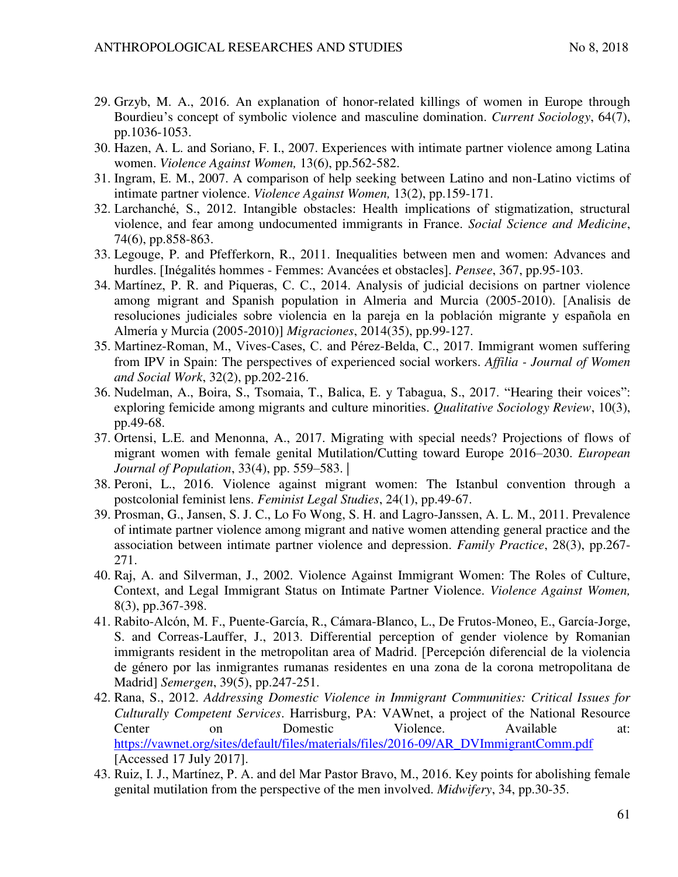- 29. Grzyb, M. A., 2016. An explanation of honor-related killings of women in Europe through Bourdieu's concept of symbolic violence and masculine domination. *Current Sociology*, 64(7), pp.1036-1053.
- 30. Hazen, A. L. and Soriano, F. I., 2007. Experiences with intimate partner violence among Latina women. *Violence Against Women,* 13(6), pp.562-582.
- 31. Ingram, E. M., 2007. A comparison of help seeking between Latino and non-Latino victims of intimate partner violence. *Violence Against Women,* 13(2), pp.159-171.
- 32. Larchanché, S., 2012. Intangible obstacles: Health implications of stigmatization, structural violence, and fear among undocumented immigrants in France. *Social Science and Medicine*, 74(6), pp.858-863.
- 33. Legouge, P. and Pfefferkorn, R., 2011. Inequalities between men and women: Advances and hurdles. [Inégalités hommes - Femmes: Avancées et obstacles]. *Pensee*, 367, pp.95-103.
- 34. Martínez, P. R. and Piqueras, C. C., 2014. Analysis of judicial decisions on partner violence among migrant and Spanish population in Almeria and Murcia (2005-2010). [Analisis de resoluciones judiciales sobre violencia en la pareja en la población migrante y española en Almería y Murcia (2005-2010)] *Migraciones*, 2014(35), pp.99-127.
- 35. Martinez-Roman, M., Vives-Cases, C. and Pérez-Belda, C., 2017. Immigrant women suffering from IPV in Spain: The perspectives of experienced social workers. *Affilia - Journal of Women and Social Work*, 32(2), pp.202-216.
- 36. Nudelman, A., Boira, S., Tsomaia, T., Balica, E. y Tabagua, S., 2017. "Hearing their voices": exploring femicide among migrants and culture minorities. *Qualitative Sociology Review*, 10(3), pp.49-68.
- 37. Ortensi, L.E. and Menonna, A., 2017. Migrating with special needs? Projections of flows of migrant women with female genital Mutilation/Cutting toward Europe 2016–2030. *European Journal of Population*, 33(4), pp. 559–583. |
- 38. Peroni, L., 2016. Violence against migrant women: The Istanbul convention through a postcolonial feminist lens. *Feminist Legal Studies*, 24(1), pp.49-67.
- 39. Prosman, G., Jansen, S. J. C., Lo Fo Wong, S. H. and Lagro-Janssen, A. L. M., 2011. Prevalence of intimate partner violence among migrant and native women attending general practice and the association between intimate partner violence and depression. *Family Practice*, 28(3), pp.267- 271.
- 40. Raj, A. and Silverman, J., 2002. Violence Against Immigrant Women: The Roles of Culture, Context, and Legal Immigrant Status on Intimate Partner Violence. *Violence Against Women,* 8(3), pp.367-398.
- 41. Rabito-Alcón, M. F., Puente-García, R., Cámara-Blanco, L., De Frutos-Moneo, E., García-Jorge, S. and Correas-Lauffer, J., 2013. Differential perception of gender violence by Romanian immigrants resident in the metropolitan area of Madrid. [Percepción diferencial de la violencia de género por las inmigrantes rumanas residentes en una zona de la corona metropolitana de Madrid] *Semergen*, 39(5), pp.247-251.
- 42. Rana, S., 2012. *Addressing Domestic Violence in Immigrant Communities: Critical Issues for Culturally Competent Services*. Harrisburg, PA: VAWnet, a project of the National Resource Center on Domestic Violence. Available at: [https://vawnet.org/sites/default/files/materials/files/2016-09/AR\\_DVImmigrantComm.pdf](https://vawnet.org/sites/default/files/materials/files/2016-09/AR_DVImmigrantComm.pdf) [Accessed 17 July 2017].
- 43. Ruiz, I. J., Martínez, P. A. and del Mar Pastor Bravo, M., 2016. Key points for abolishing female genital mutilation from the perspective of the men involved. *Midwifery*, 34, pp.30-35.